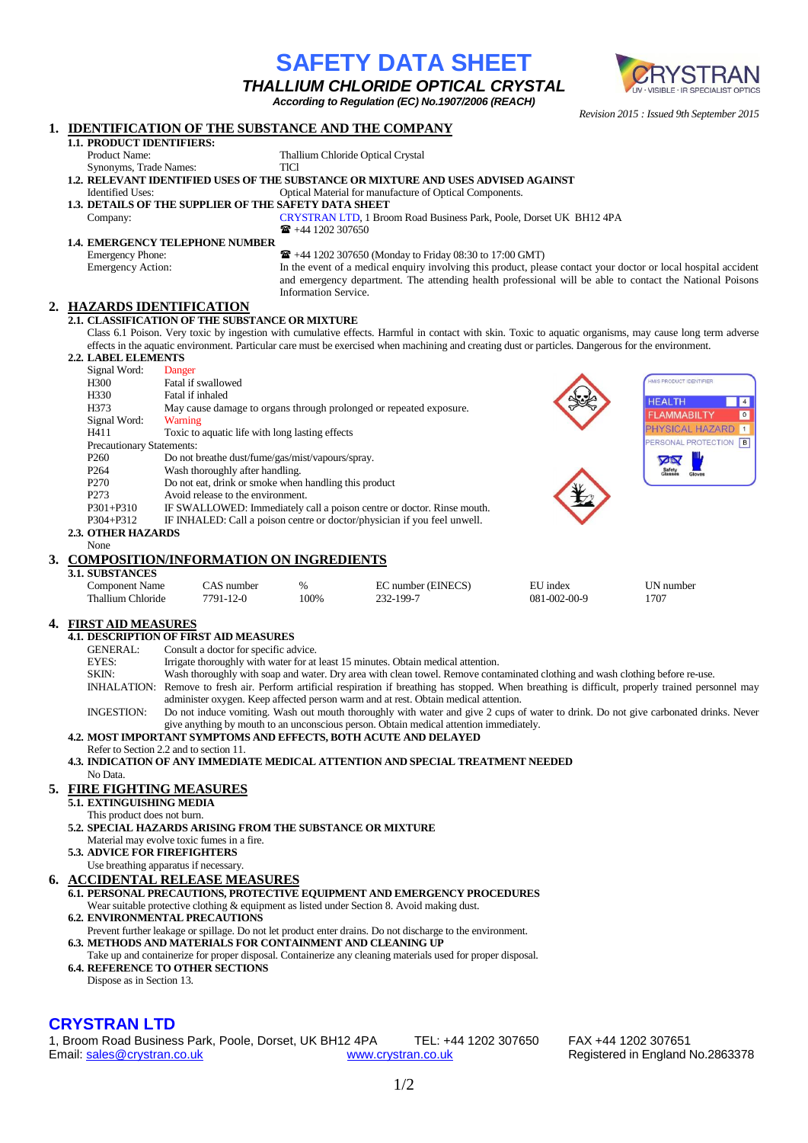*Revision 2015 : Issued 9th September 2015* **1. IDENTIFICATION OF THE SUBSTANCE AND THE COMPANY 1.1. PRODUCT IDENTIFIERS:** Product Name: Thallium Chloride Optical Crystal Synonyms, Trade Names: TlCl **1.2. RELEVANT IDENTIFIED USES OF THE SUBSTANCE OR MIXTURE AND USES ADVISED AGAINST** Identified Uses: Optical Material for manufacture of Optical Components. **1.3. DETAILS OF THE SUPPLIER OF THE SAFETY DATA SHEET** Company: CRYSTRAN LTD, 1 Broom Road Business Park, Poole, Dorset UK BH12 4PA  $\bullet$  +44 1202 307650 **1.4. EMERGENCY TELEPHONE NUMBER** Emergency Phone:  $\mathbf{F}$  +44 1202 307650 (Monday to Friday 08:30 to 17:00 GMT)<br>Emergency Action: In the event of a medical enquiry involving this product, plea In the event of a medical enquiry involving this product, please contact your doctor or local hospital accident and emergency department. The attending health professional will be able to contact the National Poisons Information Service. **2. HAZARDS IDENTIFICATION 2.1. CLASSIFICATION OF THE SUBSTANCE OR MIXTURE** Class 6.1 Poison. Very toxic by ingestion with cumulative effects. Harmful in contact with skin. Toxic to aquatic organisms, may cause long term adverse effects in the aquatic environment. Particular care must be exercised when machining and creating dust or particles. Dangerous for the environment. **2.2. LABEL ELEMENTS** Signal Word: Danger H300 Fatal if swallowed IS PRODUCT IDENTIFIE H330 Fatal if inhaled<br>H373 May cause dan **HEAI TH**  $\overline{A}$ May cause damage to organs through prolonged or repeated exposure. **ELAMMABILT**  $\overline{\circ}$ Signal Word: Warning HYSICAL HAZARD  $\overline{1}$ H411 Toxic to aquatic life with long lasting effects ERSONAL PROTECTION B Precautionary Statements:<br>P<sub>260</sub> Do not Do not breathe dust/fume/gas/mist/vapours/spray. P264 Wash thoroughly after handling. P270 Do not eat, drink or smoke when handling this product<br>P273 Avoid release to the environment. Avoid release to the environment. P301+P310 IF SWALLOWED: Immediately call a poison centre or doctor. Rinse mouth. P304+P312 IF INHALED: Call a poison centre or doctor/physician if you feel unwell. **2.3. OTHER HAZARDS** None **3. COMPOSITION/INFORMATION ON INGREDIENTS 3.1. SUBSTANCES** CAS number  $\%$  EC number (EINECS) EU index UN number Thallium Chloride 7791-12-0 100% 232-199-7 081-002-00-9 1707 **4. FIRST AID MEASURES 4.1. DESCRIPTION OF FIRST AID MEASURES** GENERAL: Consult a doctor for specific advice. EYES: Irrigate thoroughly with water for at least 15 minutes. Obtain medical attention.<br>SKIN: Wash thoroughly with soan and water. Dry area with clean towel. Remove cont Wash thoroughly with soap and water. Dry area with clean towel. Remove contaminated clothing and wash clothing before re-use. INHALATION: Remove to fresh air. Perform artificial respiration if breathing has stopped. When breathing is difficult, properly trained personnel may administer oxygen. Keep affected person warm and at rest. Obtain medical attention. INGESTION: Do not induce vomiting. Wash out mouth thoroughly with water and give 2 cups of water to drink. Do not give carbonated drinks. Never give anything by mouth to an unconscious person. Obtain medical attention immediately. **4.2. MOST IMPORTANT SYMPTOMS AND EFFECTS, BOTH ACUTE AND DELAYED** Refer to Section 2.2 and to section 11. **4.3. INDICATION OF ANY IMMEDIATE MEDICAL ATTENTION AND SPECIAL TREATMENT NEEDED** No Data. **5. FIRE FIGHTING MEASURES 5.1. EXTINGUISHING MEDIA** This product does not burn. **5.2. SPECIAL HAZARDS ARISING FROM THE SUBSTANCE OR MIXTURE** Material may evolve toxic fumes in a fire. **5.3. ADVICE FOR FIREFIGHTERS** Use breathing apparatus if necessary. **6. ACCIDENTAL RELEASE MEASURES 6.1. PERSONAL PRECAUTIONS, PROTECTIVE EQUIPMENT AND EMERGENCY PROCEDURES** Wear suitable protective clothing & equipment as listed under Section 8. Avoid making dust. **6.2. ENVIRONMENTAL PRECAUTIONS** Prevent further leakage or spillage. Do not let product enter drains. Do not discharge to the environment. **6.3. METHODS AND MATERIALS FOR CONTAINMENT AND CLEANING UP** Take up and containerize for proper disposal. Containerize any cleaning materials used for proper disposal. **6.4. REFERENCE TO OTHER SECTIONS** Dispose as in Section 13.**CRYSTRAN LTD** 

**SAFETY DATA SHEET** *THALLIUM CHLORIDE OPTICAL CRYSTAL According to Regulation (EC) No.1907/2006 (REACH)*

1, Broom Road Business Park, Poole, Dorset, UK BH12 4PA TEL: +44 1202 307650 FAX +44 1202 307651 Email[: sales@crystran.co.uk](mailto:sales@crystran.co.uk) [www.crystran.co.uk](http://www.crystran.co.uk/) Registered in England No.2863378